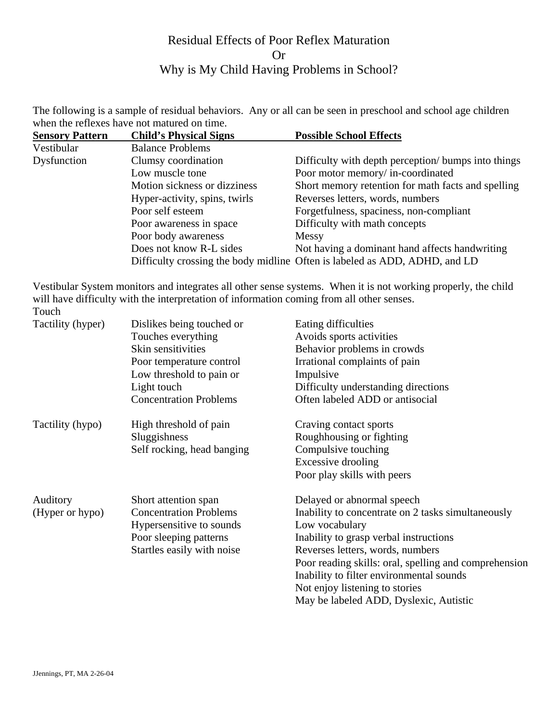## Residual Effects of Poor Reflex Maturation Or Why is My Child Having Problems in School?

The following is a sample of residual behaviors. Any or all can be seen in preschool and school age children when the reflexes have not matured on time.

| <b>Sensory Pattern</b> | <b>Child's Physical Signs</b> | <b>Possible School Effects</b>                                             |
|------------------------|-------------------------------|----------------------------------------------------------------------------|
| Vestibular             | <b>Balance Problems</b>       |                                                                            |
| Dysfunction            | Clumsy coordination           | Difficulty with depth perception/ bumps into things                        |
|                        | Low muscle tone               | Poor motor memory/ in-coordinated                                          |
|                        | Motion sickness or dizziness  | Short memory retention for math facts and spelling                         |
|                        | Hyper-activity, spins, twirls | Reverses letters, words, numbers                                           |
|                        | Poor self esteem              | Forgetfulness, spaciness, non-compliant                                    |
|                        | Poor awareness in space       | Difficulty with math concepts                                              |
|                        | Poor body awareness           | Messy                                                                      |
|                        | Does not know R-L sides       | Not having a dominant hand affects handwriting                             |
|                        |                               | Difficulty crossing the body midline Often is labeled as ADD, ADHD, and LD |

Vestibular System monitors and integrates all other sense systems. When it is not working properly, the child will have difficulty with the interpretation of information coming from all other senses. Touch

## Tactility (hyper) Dislikes being touched or Eating difficulties Touches everything Avoids sports activities Skin sensitivities Behavior problems in crowds Poor temperature control Irrational complaints of pain Low threshold to pain or Impulsive Light touch Difficulty understanding directions Concentration Problems Often labeled ADD or antisocial Tactility (hypo) High threshold of pain Craving contact sports Sluggishness Roughhousing or fighting Self rocking, head banging Compulsive touching Excessive drooling Poor play skills with peers Auditory Short attention span Delayed or abnormal speech (Hyper or hypo) Concentration Problems Inability to concentrate on 2 tasks simultaneously Hypersensitive to sounds Low vocabulary Poor sleeping patterns Inability to grasp verbal instructions Startles easily with noise Reverses letters, words, numbers Poor reading skills: oral, spelling and comprehension Inability to filter environmental sounds Not enjoy listening to stories

May be labeled ADD, Dyslexic, Autistic